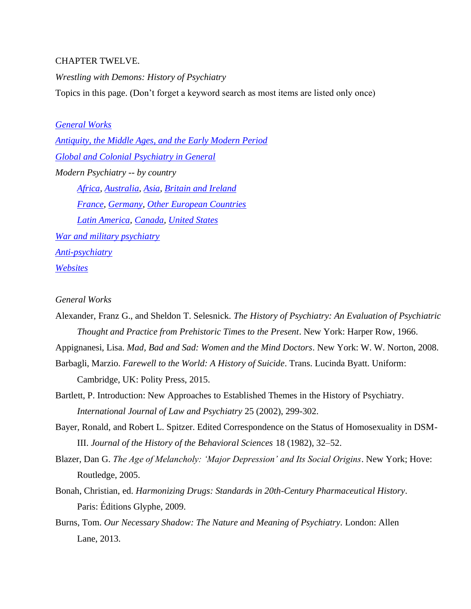#### CHAPTER TWELVE.

*Wrestling with Demons: History of Psychiatry* Topics in this page. (Don't forget a keyword search as most items are listed only once)

*[General Works](#page-0-0) [Antiquity, the Middle Ages, and the Early Modern Period](#page-5-0) [Global and Colonial Psychiatry in General](#page-6-0) Modern Psychiatry -- by country [Africa,](#page-7-0) [Australia,](#page-8-0) [Asia,](#page-8-1) [Britain and Ireland](#page-9-0)*

*[France,](#page-15-0) [Germany,](#page-15-1) [Other European Countries](#page-16-0) [Latin America,](#page-16-1) [Canada,](#page-11-0) [United States](#page-17-0) [War and military psychiatry](#page-20-0) [Anti-psychiatry](#page-20-1) [Websites](#page-21-0)*

#### <span id="page-0-0"></span>*General Works*

Alexander, Franz G., and Sheldon T. Selesnick. *The History of Psychiatry: An Evaluation of Psychiatric Thought and Practice from Prehistoric Times to the Present*. New York: Harper Row, 1966.

Appignanesi, Lisa. *Mad, Bad and Sad: Women and the Mind Doctors*. New York: W. W. Norton, 2008.

- Barbagli, Marzio. *Farewell to the World: A History of Suicide*. Trans. Lucinda Byatt. Uniform: Cambridge, UK: Polity Press, 2015.
- Bartlett, P. Introduction: New Approaches to Established Themes in the History of Psychiatry. *International Journal of Law and Psychiatry* 25 (2002), 299-302.
- Bayer, Ronald, and Robert L. Spitzer. Edited Correspondence on the Status of Homosexuality in DSM-III. *Journal of the History of the Behavioral Sciences* 18 (1982), 32–52.
- Blazer, Dan G. *The Age of Melancholy: 'Major Depression' and Its Social Origins*. New York; Hove: Routledge, 2005.
- Bonah, Christian, ed. *Harmonizing Drugs: Standards in 20th-Century Pharmaceutical History*. Paris: Éditions Glyphe, 2009.
- Burns, Tom. *Our Necessary Shadow: The Nature and Meaning of Psychiatry*. London: Allen Lane, 2013.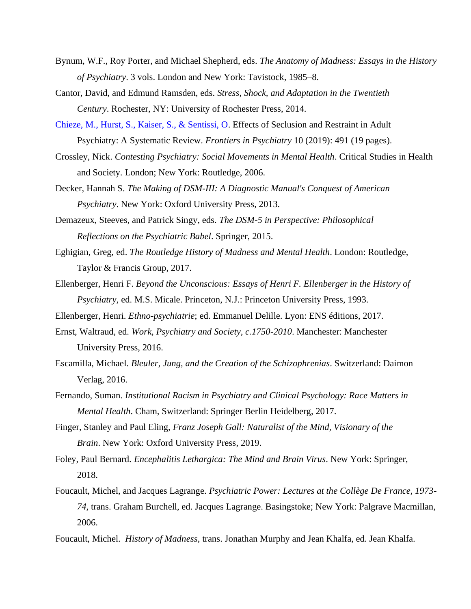- Bynum, W.F., Roy Porter, and Michael Shepherd, eds. *The Anatomy of Madness: Essays in the History of Psychiatry*. 3 vols. London and New York: Tavistock, 1985–8.
- Cantor, David, and Edmund Ramsden, eds. *Stress, Shock, and Adaptation in the Twentieth Century*. Rochester, NY: University of Rochester Press, 2014.
- [Chieze, M., Hurst, S., Kaiser, S., & Sentissi, O.](https://doi.org/10.3389/fpsyt.2019.00491) Effects of Seclusion and Restraint in Adult Psychiatry: A Systematic Review. *Frontiers in Psychiatry* 10 (2019): 491 (19 pages).
- Crossley, Nick. *Contesting Psychiatry: Social Movements in Mental Health*. Critical Studies in Health and Society. London; New York: Routledge, 2006.
- Decker, Hannah S. *The Making of DSM-III: A Diagnostic Manual's Conquest of American Psychiatry*. New York: Oxford University Press, 2013.
- Demazeux, Steeves, and Patrick Singy, eds. *The DSM-5 in Perspective: Philosophical Reflections on the Psychiatric Babel*. Springer, 2015.
- Eghigian, Greg, ed. *The Routledge History of Madness and Mental Health*. London: Routledge, Taylor & Francis Group, 2017.
- Ellenberger, Henri F. *Beyond the Unconscious: Essays of Henri F. Ellenberger in the History of Psychiatry*, ed. M.S. Micale. Princeton, N.J.: Princeton University Press, 1993.

Ellenberger, Henri. *Ethno-psychiatrie*; ed. Emmanuel Delille. Lyon: ENS éditions, 2017.

- Ernst, Waltraud, ed. *Work, Psychiatry and Society, c.1750-2010*. Manchester: Manchester University Press, 2016.
- Escamilla, Michael. *Bleuler, Jung, and the Creation of the Schizophrenias*. Switzerland: Daimon Verlag, 2016.
- Fernando, Suman. *Institutional Racism in Psychiatry and Clinical Psychology: Race Matters in Mental Health*. Cham, Switzerland: Springer Berlin Heidelberg, 2017.
- Finger, Stanley and Paul Eling, *Franz Joseph Gall: Naturalist of the Mind, Visionary of the Brain*. New York: Oxford University Press, 2019.
- Foley, Paul Bernard. *Encephalitis Lethargica: The Mind and Brain Virus*. New York: Springer, 2018.
- Foucault, Michel, and Jacques Lagrange. *Psychiatric Power: Lectures at the Collège De France, 1973- 74*, trans. Graham Burchell, ed. Jacques Lagrange. Basingstoke; New York: Palgrave Macmillan, 2006.
- Foucault, Michel. *History of Madness*, trans. Jonathan Murphy and Jean Khalfa, ed. Jean Khalfa.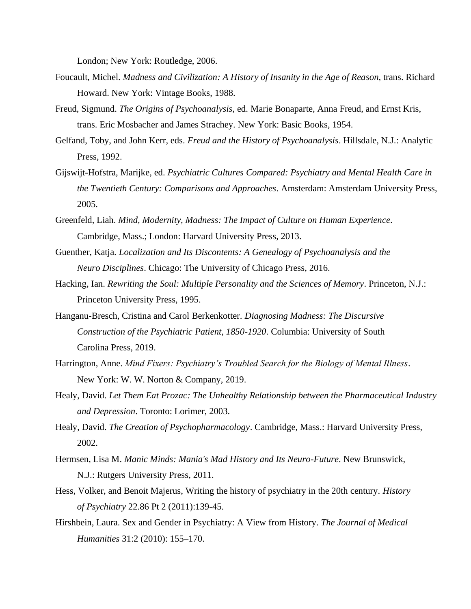London; New York: Routledge, 2006.

- Foucault, Michel. *Madness and Civilization: A History of Insanity in the Age of Reason*, trans. Richard Howard. New York: Vintage Books, 1988.
- Freud, Sigmund. *The Origins of Psychoanalysis*, ed. Marie Bonaparte, Anna Freud, and Ernst Kris, trans. Eric Mosbacher and James Strachey. New York: Basic Books, 1954.
- Gelfand, Toby, and John Kerr, eds. *Freud and the History of Psychoanalysis*. Hillsdale, N.J.: Analytic Press, 1992.
- Gijswijt-Hofstra, Marijke, ed. *Psychiatric Cultures Compared: Psychiatry and Mental Health Care in the Twentieth Century: Comparisons and Approaches*. Amsterdam: Amsterdam University Press, 2005.
- Greenfeld, Liah. *Mind, Modernity, Madness: The Impact of Culture on Human Experience*. Cambridge, Mass.; London: Harvard University Press, 2013.
- Guenther, Katja. *Localization and Its Discontents: A Genealogy of Psychoanalysis and the Neuro Disciplines*. Chicago: The University of Chicago Press, 2016.
- Hacking, Ian. *Rewriting the Soul: Multiple Personality and the Sciences of Memory*. Princeton, N.J.: Princeton University Press, 1995.
- Hanganu-Bresch, Cristina and Carol Berkenkotter. *Diagnosing Madness: The Discursive Construction of the Psychiatric Patient, 1850-1920*. Columbia: University of South Carolina Press, 2019.
- Harrington, Anne. *Mind Fixers: Psychiatry's Troubled Search for the Biology of Mental Illness*. New York: W. W. Norton & Company, 2019.
- Healy, David. *Let Them Eat Prozac: The Unhealthy Relationship between the Pharmaceutical Industry and Depression*. Toronto: Lorimer, 2003.
- Healy, David. *The Creation of Psychopharmacology*. Cambridge, Mass.: Harvard University Press, 2002.
- Hermsen, Lisa M. *Manic Minds: Mania's Mad History and Its Neuro-Future*. New Brunswick, N.J.: Rutgers University Press, 2011.
- Hess, Volker, and Benoit Majerus, Writing the history of psychiatry in the 20th century. *History of Psychiatry* 22.86 Pt 2 (2011):139-45.
- Hirshbein, Laura. Sex and Gender in Psychiatry: A View from History. *The Journal of Medical Humanities* 31:2 (2010): 155–170.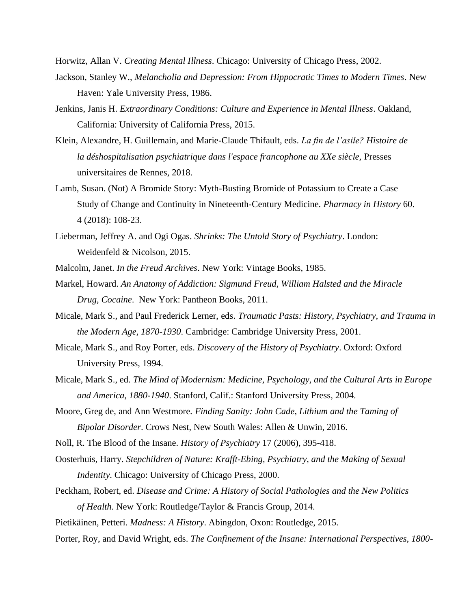Horwitz, Allan V. *Creating Mental Illness*. Chicago: University of Chicago Press, 2002.

- Jackson, Stanley W., *Melancholia and Depression: From Hippocratic Times to Modern Times*. New Haven: Yale University Press, 1986.
- Jenkins, Janis H. *Extraordinary Conditions: Culture and Experience in Mental Illness*. Oakland, California: University of California Press, 2015.
- Klein, Alexandre, H. Guillemain, and Marie-Claude Thifault, eds. *La fin de l'asile? Histoire de la déshospitalisation psychiatrique dans l'espace francophone au XXe siècle,* Presses universitaires de Rennes, 2018.
- Lamb, Susan. (Not) A Bromide Story: Myth-Busting Bromide of Potassium to Create a Case Study of Change and Continuity in Nineteenth-Century Medicine. *Pharmacy in History* 60. 4 (2018): 108-23.
- Lieberman, Jeffrey A. and Ogi Ogas. *Shrinks: The Untold Story of Psychiatry*. London: Weidenfeld & Nicolson, 2015.
- Malcolm, Janet. *In the Freud Archives*. New York: Vintage Books, 1985.
- Markel, Howard. *An Anatomy of Addiction: Sigmund Freud, William Halsted and the Miracle Drug, Cocaine*. New York: Pantheon Books, 2011.
- Micale, Mark S., and Paul Frederick Lerner, eds. *Traumatic Pasts: History, Psychiatry, and Trauma in the Modern Age, 1870-1930*. Cambridge: Cambridge University Press, 2001.
- Micale, Mark S., and Roy Porter, eds. *Discovery of the History of Psychiatry*. Oxford: Oxford University Press, 1994.
- Micale, Mark S., ed. *The Mind of Modernism: Medicine, Psychology, and the Cultural Arts in Europe and America, 1880-1940*. Stanford, Calif.: Stanford University Press, 2004.
- Moore, Greg de, and Ann Westmore. *Finding Sanity: John Cade, Lithium and the Taming of Bipolar Disorder*. Crows Nest, New South Wales: Allen & Unwin, 2016.
- Noll, R. The Blood of the Insane. *History of Psychiatry* 17 (2006), 395-418.
- Oosterhuis, Harry. *Stepchildren of Nature: Krafft-Ebing, Psychiatry, and the Making of Sexual Indentity*. Chicago: University of Chicago Press, 2000.
- Peckham, Robert, ed. *Disease and Crime: A History of Social Pathologies and the New Politics of Health*. New York: Routledge/Taylor & Francis Group, 2014.
- Pietikäinen, Petteri. *Madness: A History*. Abingdon, Oxon: Routledge, 2015.
- Porter, Roy, and David Wright, eds. *The Confinement of the Insane: International Perspectives, 1800-*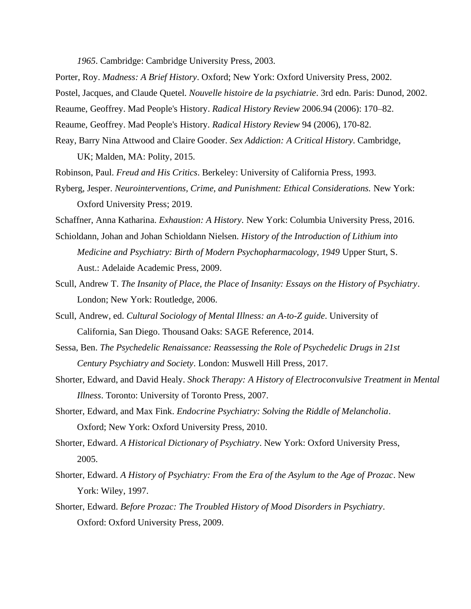*1965*. Cambridge: Cambridge University Press, 2003.

Porter, Roy. *Madness: A Brief History*. Oxford; New York: Oxford University Press, 2002. Postel, Jacques, and Claude Quetel. *Nouvelle histoire de la psychiatrie*. 3rd edn. Paris: Dunod, 2002. Reaume, Geoffrey. Mad People's History. *Radical History Review* 2006.94 (2006): 170–82. Reaume, Geoffrey. Mad People's History. *Radical History Review* 94 (2006), 170-82. Reay, Barry Nina Attwood and Claire Gooder. *Sex Addiction: A Critical History*. Cambridge,

UK; Malden, MA: Polity, 2015.

Robinson, Paul. *Freud and His Critics*. Berkeley: University of California Press, 1993.

Ryberg, Jesper. *Neurointerventions, Crime, and Punishment: Ethical Considerations.* New York: Oxford University Press; 2019.

Schaffner, Anna Katharina. *Exhaustion: A History*. New York: Columbia University Press, 2016.

- Schioldann, Johan and Johan Schioldann Nielsen. *History of the Introduction of Lithium into Medicine and Psychiatry: Birth of Modern Psychopharmacology, 1949* Upper Sturt, S. Aust.: Adelaide Academic Press, 2009.
- Scull, Andrew T. *The Insanity of Place, the Place of Insanity: Essays on the History of Psychiatry*. London; New York: Routledge, 2006.
- Scull, Andrew, ed. *Cultural Sociology of Mental Illness: an A-to-Z guide*. University of California, San Diego. Thousand Oaks: SAGE Reference, 2014.
- Sessa, Ben. *The Psychedelic Renaissance: Reassessing the Role of Psychedelic Drugs in 21st Century Psychiatry and Society*. London: Muswell Hill Press, 2017.
- Shorter, Edward, and David Healy. *Shock Therapy: A History of Electroconvulsive Treatment in Mental Illness*. Toronto: University of Toronto Press, 2007.
- Shorter, Edward, and Max Fink. *Endocrine Psychiatry: Solving the Riddle of Melancholia*. Oxford; New York: Oxford University Press, 2010.
- Shorter, Edward. *A Historical Dictionary of Psychiatry*. New York: Oxford University Press, 2005.
- Shorter, Edward. *A History of Psychiatry: From the Era of the Asylum to the Age of Prozac*. New York: Wiley, 1997.
- Shorter, Edward. *Before Prozac: The Troubled History of Mood Disorders in Psychiatry*. Oxford: Oxford University Press, 2009.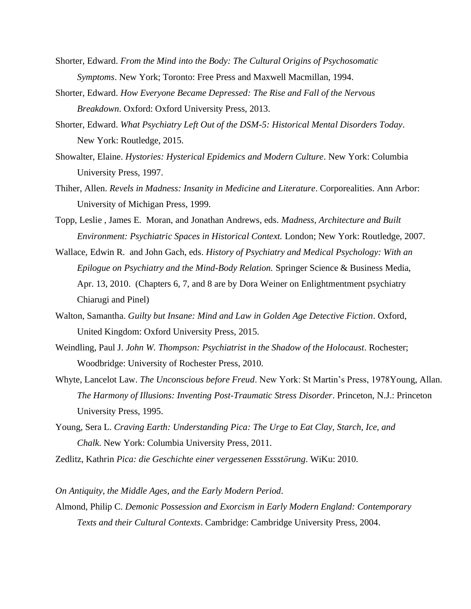- Shorter, Edward. *From the Mind into the Body: The Cultural Origins of Psychosomatic Symptoms*. New York; Toronto: Free Press and Maxwell Macmillan, 1994.
- Shorter, Edward. *How Everyone Became Depressed: The Rise and Fall of the Nervous Breakdown*. Oxford: Oxford University Press, 2013.
- Shorter, Edward. *What Psychiatry Left Out of the DSM-5: Historical Mental Disorders Today*. New York: Routledge, 2015.
- Showalter, Elaine. *Hystories: Hysterical Epidemics and Modern Culture*. New York: Columbia University Press, 1997.
- Thiher, Allen. *Revels in Madness: Insanity in Medicine and Literature*. Corporealities. Ann Arbor: University of Michigan Press, 1999.
- Topp, Leslie , James E. Moran, and Jonathan Andrews, eds. *Madness, Architecture and Built Environment: Psychiatric Spaces in Historical Context.* London; New York: Routledge, 2007.
- Wallace, Edwin R. and John Gach, eds. *History of Psychiatry and Medical Psychology: With an Epilogue on Psychiatry and the Mind-Body Relation.* Springer Science & Business Media, Apr. 13, 2010. (Chapters 6, 7, and 8 are by Dora Weiner on Enlightmentment psychiatry Chiarugi and Pinel)
- Walton, Samantha. *Guilty but Insane: Mind and Law in Golden Age Detective Fiction*. Oxford, United Kingdom: Oxford University Press, 2015.
- Weindling, Paul J. *John W. Thompson: Psychiatrist in the Shadow of the Holocaust*. Rochester; Woodbridge: University of Rochester Press, 2010.
- Whyte, Lancelot Law. *The Unconscious before Freud*. New York: St Martin's Press, 1978Young, Allan. *The Harmony of Illusions: Inventing Post-Traumatic Stress Disorder*. Princeton, N.J.: Princeton University Press, 1995.
- Young, Sera L. *Craving Earth: Understanding Pica: The Urge to Eat Clay, Starch, Ice, and Chalk*. New York: Columbia University Press, 2011.
- Zedlitz, Kathrin *Pica: die Geschichte einer vergessenen Essstörung*. WiKu: 2010.

<span id="page-5-0"></span>*On Antiquity, the Middle Ages, and the Early Modern Period.*

Almond, Philip C. *Demonic Possession and Exorcism in Early Modern England: Contemporary Texts and their Cultural Contexts*. Cambridge: Cambridge University Press, 2004.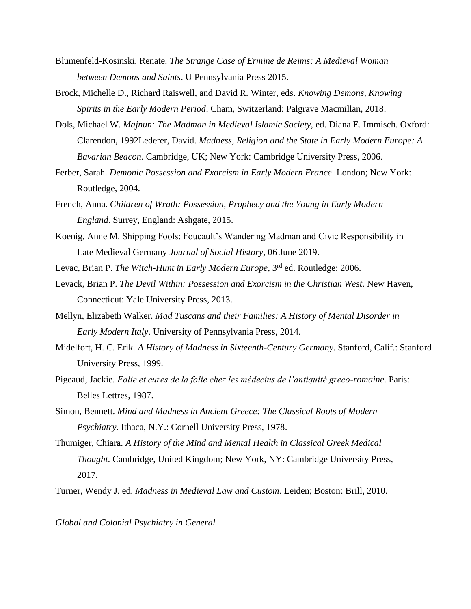- Blumenfeld-Kosinski, Renate. *The Strange Case of Ermine de Reims: A Medieval Woman between Demons and Saints*. U Pennsylvania Press 2015.
- Brock, Michelle D., Richard Raiswell, and David R. Winter, eds. *Knowing Demons, Knowing Spirits in the Early Modern Period*. Cham, Switzerland: Palgrave Macmillan, 2018.
- Dols, Michael W. *Majnun: The Madman in Medieval Islamic Society*, ed. Diana E. Immisch. Oxford: Clarendon, 1992Lederer, David. *Madness, Religion and the State in Early Modern Europe: A Bavarian Beacon*. Cambridge, UK; New York: Cambridge University Press, 2006.
- Ferber, Sarah. *Demonic Possession and Exorcism in Early Modern France*. London; New York: Routledge, 2004.
- French, Anna. *Children of Wrath: Possession, Prophecy and the Young in Early Modern England*. Surrey, England: Ashgate, 2015.
- Koenig, Anne M. Shipping Fools: Foucault's Wandering Madman and Civic Responsibility in Late Medieval Germany *Journal of Social History*, 06 June 2019.
- Levac, Brian P. *The Witch-Hunt in Early Modern Europe*, 3rd ed. Routledge: 2006.
- Levack, Brian P. *The Devil Within: Possession and Exorcism in the Christian West*. New Haven, Connecticut: Yale University Press, 2013.
- Mellyn, Elizabeth Walker. *Mad Tuscans and their Families: A History of Mental Disorder in Early Modern Italy*. University of Pennsylvania Press, 2014.
- Midelfort, H. C. Erik. *A History of Madness in Sixteenth-Century Germany*. Stanford, Calif.: Stanford University Press, 1999.
- Pigeaud, Jackie. *Folie et cures de la folie chez les médecins de l'antiquité greco-romaine*. Paris: Belles Lettres, 1987.
- Simon, Bennett. *Mind and Madness in Ancient Greece: The Classical Roots of Modern Psychiatry*. Ithaca, N.Y.: Cornell University Press, 1978.
- Thumiger, Chiara. *A History of the Mind and Mental Health in Classical Greek Medical Thought*. Cambridge, United Kingdom; New York, NY: Cambridge University Press, 2017.
- Turner, Wendy J. ed. *Madness in Medieval Law and Custom*. Leiden; Boston: Brill, 2010.

<span id="page-6-0"></span>*Global and Colonial Psychiatry in General*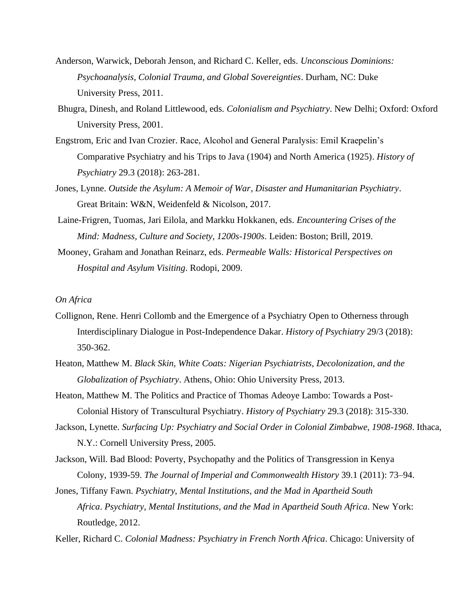- Anderson, Warwick, Deborah Jenson, and Richard C. Keller, eds. *Unconscious Dominions: Psychoanalysis, Colonial Trauma, and Global Sovereignties*. Durham, NC: Duke University Press, 2011.
- Bhugra, Dinesh, and Roland Littlewood, eds. *Colonialism and Psychiatry*. New Delhi; Oxford: Oxford University Press, 2001.
- Engstrom, Eric and Ivan Crozier. Race, Alcohol and General Paralysis: Emil Kraepelin's Comparative Psychiatry and his Trips to Java (1904) and North America (1925). *History of Psychiatry* 29.3 (2018): 263-281.
- Jones, Lynne. *Outside the Asylum: A Memoir of War, Disaster and Humanitarian Psychiatry*. Great Britain: W&N, Weidenfeld & Nicolson, 2017.
- Laine-Frigren, Tuomas, Jari Eilola, and Markku Hokkanen, eds. *Encountering Crises of the Mind: Madness, Culture and Society, 1200s-1900s*. Leiden: Boston; Brill, 2019.
- Mooney, Graham and Jonathan Reinarz, eds. *Permeable Walls: Historical Perspectives on Hospital and Asylum Visiting*. Rodopi, 2009.

### <span id="page-7-0"></span>*On Africa*

- Collignon, Rene. Henri Collomb and the Emergence of a Psychiatry Open to Otherness through Interdisciplinary Dialogue in Post-Independence Dakar. *History of Psychiatry* 29/3 (2018): 350-362.
- Heaton, Matthew M. *Black Skin, White Coats: Nigerian Psychiatrists, Decolonization, and the Globalization of Psychiatry*. Athens, Ohio: Ohio University Press, 2013.
- Heaton, Matthew M. The Politics and Practice of Thomas Adeoye Lambo: Towards a Post-Colonial History of Transcultural Psychiatry. *History of Psychiatry* 29.3 (2018): 315-330.
- Jackson, Lynette. *Surfacing Up: Psychiatry and Social Order in Colonial Zimbabwe, 1908-1968*. Ithaca, N.Y.: Cornell University Press, 2005.
- Jackson, Will. Bad Blood: Poverty, Psychopathy and the Politics of Transgression in Kenya Colony, 1939-59. *The Journal of Imperial and Commonwealth History* 39.1 (2011): 73–94.
- Jones, Tiffany Fawn. *Psychiatry, Mental Institutions, and the Mad in Apartheid South Africa*. *Psychiatry, Mental Institutions, and the Mad in Apartheid South Africa*. New York: Routledge, 2012.
- Keller, Richard C. *Colonial Madness: Psychiatry in French North Africa*. Chicago: University of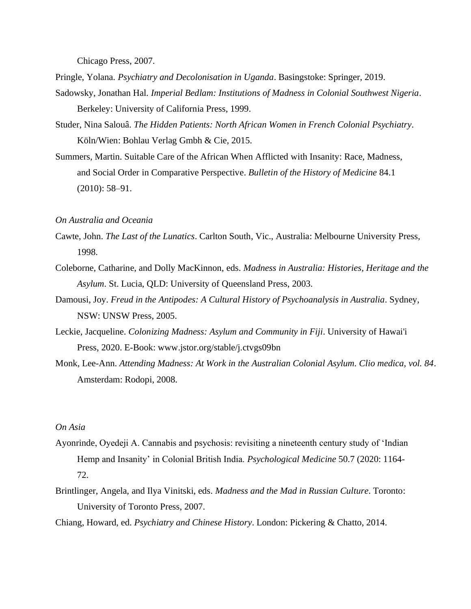Chicago Press, 2007.

- Pringle, Yolana. *Psychiatry and Decolonisation in Uganda*. Basingstoke: Springer, 2019.
- Sadowsky, Jonathan Hal. *Imperial Bedlam: Institutions of Madness in Colonial Southwest Nigeria*. Berkeley: University of California Press, 1999.
- Studer, Nina Salouâ. *The Hidden Patients: North African Women in French Colonial Psychiatry*. Köln/Wien: Bohlau Verlag Gmbh & Cie, 2015.
- Summers, Martin. Suitable Care of the African When Afflicted with Insanity: Race, Madness, and Social Order in Comparative Perspective. *Bulletin of the History of Medicine* 84.1 (2010): 58–91.

#### <span id="page-8-0"></span>*On Australia and Oceania*

- Cawte, John. *The Last of the Lunatics*. Carlton South, Vic., Australia: Melbourne University Press, 1998.
- Coleborne, Catharine, and Dolly MacKinnon, eds. *Madness in Australia: Histories, Heritage and the Asylum*. St. Lucia, QLD: University of Queensland Press, 2003.
- Damousi, Joy. *Freud in the Antipodes: A Cultural History of Psychoanalysis in Australia*. Sydney, NSW: UNSW Press, 2005.
- Leckie, Jacqueline. *Colonizing Madness: Asylum and Community in Fiji*. University of Hawai'i Press, 2020. E-Book: www.jstor.org/stable/j.ctvgs09bn
- Monk, Lee-Ann. *Attending Madness: At Work in the Australian Colonial Asylum. Clio medica, vol. 84*. Amsterdam: Rodopi, 2008.

# <span id="page-8-1"></span>*On Asia*

- Ayonrinde, Oyedeji A. Cannabis and psychosis: revisiting a nineteenth century study of 'Indian Hemp and Insanity' in Colonial British India. *Psychological Medicine* 50.7 (2020: 1164- 72.
- Brintlinger, Angela, and Ilya Vinitski, eds. *Madness and the Mad in Russian Culture*. Toronto: University of Toronto Press, 2007.
- Chiang, Howard, ed. *Psychiatry and Chinese History*. London: Pickering & Chatto, 2014.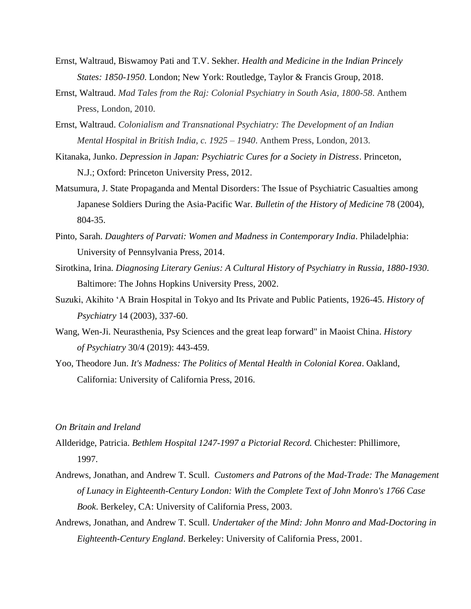- Ernst, Waltraud, Biswamoy Pati and T.V. Sekher. *Health and Medicine in the Indian Princely States: 1850-1950*. London; New York: Routledge, Taylor & Francis Group, 2018.
- Ernst, Waltraud. *Mad Tales from the Raj: Colonial Psychiatry in South Asia, 1800-58*. Anthem Press, London, 2010.
- Ernst, Waltraud. *Colonialism and Transnational Psychiatry: The Development of an Indian Mental Hospital in British India, c. 1925 – 1940*. Anthem Press, London, 2013.
- Kitanaka, Junko. *Depression in Japan: Psychiatric Cures for a Society in Distress*. Princeton, N.J.; Oxford: Princeton University Press, 2012.
- Matsumura, J. State Propaganda and Mental Disorders: The Issue of Psychiatric Casualties among Japanese Soldiers During the Asia-Pacific War. *Bulletin of the History of Medicine* 78 (2004), 804-35.
- Pinto, Sarah. *Daughters of Parvati: Women and Madness in Contemporary India*. Philadelphia: University of Pennsylvania Press, 2014.
- Sirotkina, Irina. *Diagnosing Literary Genius: A Cultural History of Psychiatry in Russia, 1880-1930*. Baltimore: The Johns Hopkins University Press, 2002.
- Suzuki, Akihito 'A Brain Hospital in Tokyo and Its Private and Public Patients, 1926-45. *History of Psychiatry* 14 (2003), 337-60.
- Wang, Wen-Ji. Neurasthenia, Psy Sciences and the great leap forward" in Maoist China. *History of Psychiatry* 30/4 (2019): 443-459.
- Yoo, Theodore Jun. *It's Madness: The Politics of Mental Health in Colonial Korea*. Oakland, California: University of California Press, 2016.

# <span id="page-9-0"></span>*On Britain and Ireland*

- Allderidge, Patricia. *Bethlem Hospital 1247-1997 a Pictorial Record.* Chichester: Phillimore, 1997.
- Andrews, Jonathan, and Andrew T. Scull. *Customers and Patrons of the Mad-Trade: The Management of Lunacy in Eighteenth-Century London: With the Complete Text of John Monro's 1766 Case Book*. Berkeley, CA: University of California Press, 2003.
- Andrews, Jonathan, and Andrew T. Scull. *Undertaker of the Mind: John Monro and Mad-Doctoring in Eighteenth-Century England*. Berkeley: University of California Press, 2001.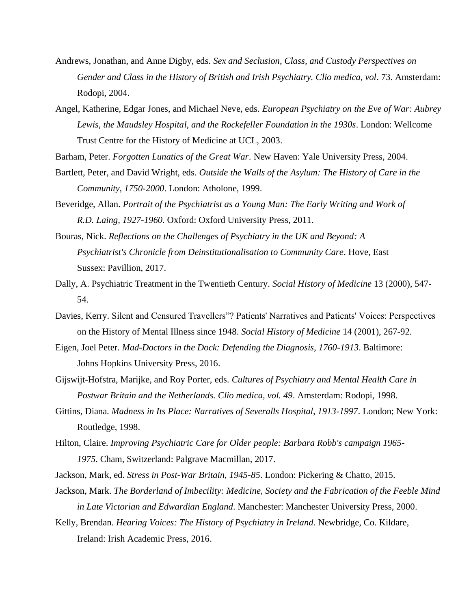- Andrews, Jonathan, and Anne Digby, eds. *Sex and Seclusion, Class, and Custody Perspectives on Gender and Class in the History of British and Irish Psychiatry. Clio medica, vol*. 73. Amsterdam: Rodopi, 2004.
- Angel, Katherine, Edgar Jones, and Michael Neve, eds. *European Psychiatry on the Eve of War: Aubrey Lewis, the Maudsley Hospital, and the Rockefeller Foundation in the 1930s*. London: Wellcome Trust Centre for the History of Medicine at UCL, 2003.

Barham, Peter. *Forgotten Lunatics of the Great War*. New Haven: Yale University Press, 2004.

- Bartlett, Peter, and David Wright, eds. *Outside the Walls of the Asylum: The History of Care in the Community, 1750-2000*. London: Atholone, 1999.
- Beveridge, Allan. *Portrait of the Psychiatrist as a Young Man: The Early Writing and Work of R.D. Laing, 1927-1960*. Oxford: Oxford University Press, 2011.
- Bouras, Nick. *Reflections on the Challenges of Psychiatry in the UK and Beyond: A Psychiatrist's Chronicle from Deinstitutionalisation to Community Care*. Hove, East Sussex: Pavillion, 2017.
- Dally, A. Psychiatric Treatment in the Twentieth Century. *Social History of Medicine* 13 (2000), 547- 54.
- Davies, Kerry. Silent and Censured Travellers"? Patients' Narratives and Patients' Voices: Perspectives on the History of Mental Illness since 1948. *Social History of Medicine* 14 (2001), 267-92.
- Eigen, Joel Peter. *Mad-Doctors in the Dock: Defending the Diagnosis, 1760-1913*. Baltimore: Johns Hopkins University Press, 2016.
- Gijswijt-Hofstra, Marijke, and Roy Porter, eds. *Cultures of Psychiatry and Mental Health Care in Postwar Britain and the Netherlands. Clio medica, vol. 49*. Amsterdam: Rodopi, 1998.
- Gittins, Diana. *Madness in Its Place: Narratives of Severalls Hospital, 1913-1997*. London; New York: Routledge, 1998.
- Hilton, Claire. *Improving Psychiatric Care for Older people: Barbara Robb's campaign 1965- 1975*. Cham, Switzerland: Palgrave Macmillan, 2017.
- Jackson, Mark, ed. *Stress in Post-War Britain, 1945-85*. London: Pickering & Chatto, 2015.
- Jackson, Mark. *The Borderland of Imbecility: Medicine, Society and the Fabrication of the Feeble Mind in Late Victorian and Edwardian England*. Manchester: Manchester University Press, 2000.
- Kelly, Brendan. *Hearing Voices: The History of Psychiatry in Ireland*. Newbridge, Co. Kildare, Ireland: Irish Academic Press, 2016.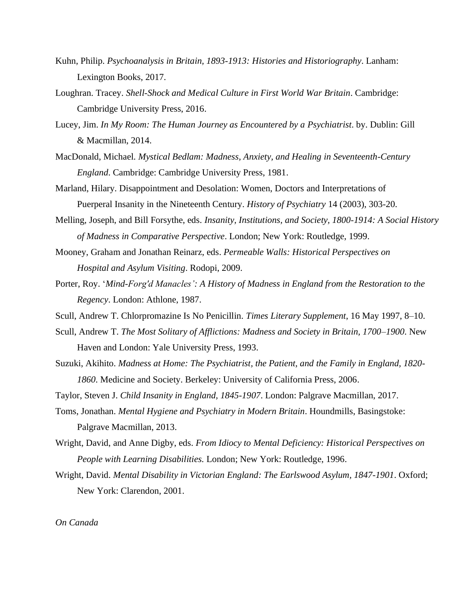- Kuhn, Philip. *Psychoanalysis in Britain, 1893-1913: Histories and Historiography*. Lanham: Lexington Books, 2017.
- Loughran. Tracey. *Shell-Shock and Medical Culture in First World War Britain*. Cambridge: Cambridge University Press, 2016.
- Lucey, Jim. *In My Room: The Human Journey as Encountered by a Psychiatrist*. by. Dublin: Gill & Macmillan, 2014.
- MacDonald, Michael. *Mystical Bedlam: Madness, Anxiety, and Healing in Seventeenth-Century England*. Cambridge: Cambridge University Press, 1981.
- Marland, Hilary. Disappointment and Desolation: Women, Doctors and Interpretations of Puerperal Insanity in the Nineteenth Century. *History of Psychiatry* 14 (2003), 303-20.
- Melling, Joseph, and Bill Forsythe, eds. *Insanity, Institutions, and Society, 1800-1914: A Social History of Madness in Comparative Perspective*. London; New York: Routledge, 1999.
- Mooney, Graham and Jonathan Reinarz, eds. *Permeable Walls: Historical Perspectives on Hospital and Asylum Visiting*. Rodopi, 2009.
- Porter, Roy. '*Mind-Forg'd Manacles': A History of Madness in England from the Restoration to the Regency*. London: Athlone, 1987.
- Scull, Andrew T. Chlorpromazine Is No Penicillin. *Times Literary Supplement*, 16 May 1997, 8–10.
- Scull, Andrew T. *The Most Solitary of Afflictions: Madness and Society in Britain, 1700–1900*. New Haven and London: Yale University Press, 1993.
- Suzuki, Akihito. *Madness at Home: The Psychiatrist, the Patient, and the Family in England, 1820- 1860*. Medicine and Society. Berkeley: University of California Press, 2006.
- Taylor, Steven J. *Child Insanity in England, 1845-1907*. London: Palgrave Macmillan, 2017.
- Toms, Jonathan. *Mental Hygiene and Psychiatry in Modern Britain*. Houndmills, Basingstoke: Palgrave Macmillan, 2013.
- Wright, David, and Anne Digby, eds. *From Idiocy to Mental Deficiency: Historical Perspectives on People with Learning Disabilities.* London; New York: Routledge, 1996.
- Wright, David. *Mental Disability in Victorian England: The Earlswood Asylum, 1847-1901*. Oxford; New York: Clarendon, 2001.

<span id="page-11-0"></span>*On Canada*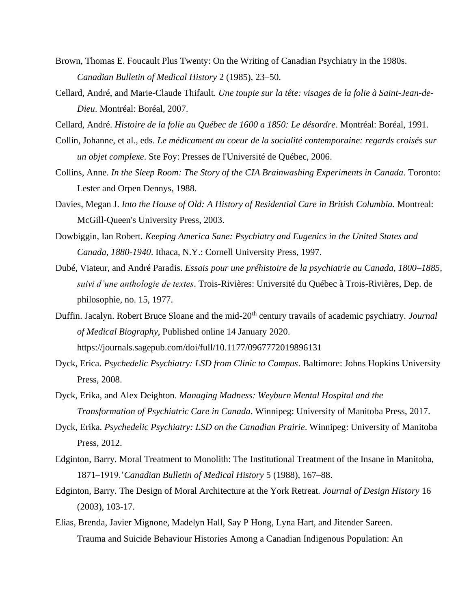- Brown, Thomas E. Foucault Plus Twenty: On the Writing of Canadian Psychiatry in the 1980s. *Canadian Bulletin of Medical History* 2 (1985), 23–50.
- Cellard, André, and Marie-Claude Thifault. *Une toupie sur la tête: visages de la folie à Saint-Jean-de-Dieu*. Montréal: Boréal, 2007.
- Cellard, André. *Histoire de la folie au Québec de 1600 a 1850: Le désordre*. Montréal: Boréal, 1991.
- Collin, Johanne, et al., eds. *Le médicament au coeur de la socialité contemporaine: regards croisés sur un objet complexe*. Ste Foy: Presses de l'Université de Québec, 2006.
- Collins, Anne. *In the Sleep Room: The Story of the CIA Brainwashing Experiments in Canada*. Toronto: Lester and Orpen Dennys, 1988.
- Davies, Megan J. *Into the House of Old: A History of Residential Care in British Columbia.* Montreal: McGill-Queen's University Press, 2003.
- Dowbiggin, Ian Robert. *Keeping America Sane: Psychiatry and Eugenics in the United States and Canada, 1880-1940*. Ithaca, N.Y.: Cornell University Press, 1997.
- Dubé, Viateur, and André Paradis. *Essais pour une préhistoire de la psychiatrie au Canada, 1800–1885, suivi d'une anthologie de textes*. Trois-Rivières: Université du Québec à Trois-Rivières, Dep. de philosophie, no. 15, 1977.
- Duffin. Jacalyn. Robert Bruce Sloane and the mid-20<sup>th</sup> century travails of academic psychiatry. *Journal of Medical Biography*, Published online 14 January 2020. https://journals.sagepub.com/doi/full/10.1177/0967772019896131
- Dyck, Erica. *Psychedelic Psychiatry: LSD from Clinic to Campus*. Baltimore: Johns Hopkins University Press, 2008.
- Dyck, Erika, and Alex Deighton. *Managing Madness: Weyburn Mental Hospital and the Transformation of Psychiatric Care in Canada*. Winnipeg: University of Manitoba Press, 2017.
- Dyck, Erika. *Psychedelic Psychiatry: LSD on the Canadian Prairie*. Winnipeg: University of Manitoba Press, 2012.
- Edginton, Barry. Moral Treatment to Monolith: The Institutional Treatment of the Insane in Manitoba, 1871–1919.'*Canadian Bulletin of Medical History* 5 (1988), 167–88.
- Edginton, Barry. The Design of Moral Architecture at the York Retreat. *Journal of Design History* 16 (2003), 103-17.
- Elias, Brenda, Javier Mignone, Madelyn Hall, Say P Hong, Lyna Hart, and Jitender Sareen. Trauma and Suicide Behaviour Histories Among a Canadian Indigenous Population: An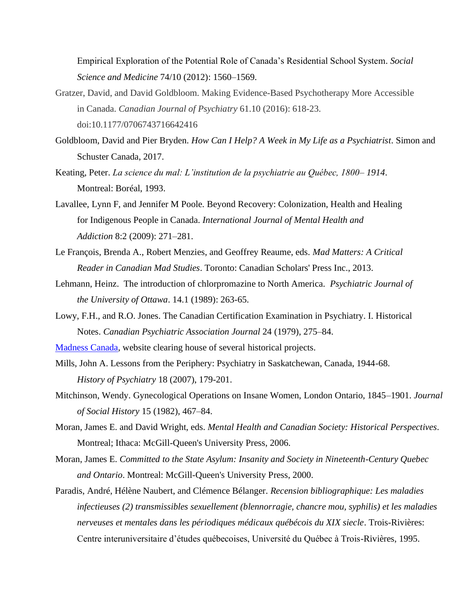Empirical Exploration of the Potential Role of Canada's Residential School System. *Social Science and Medicine* 74/10 (2012): 1560–1569.

- Gratzer, David, and David Goldbloom. Making Evidence-Based Psychotherapy More Accessible in Canada. *Canadian Journal of Psychiatry* 61.10 (2016): 618-23. doi:10.1177/0706743716642416
- Goldbloom, David and Pier Bryden. *How Can I Help? A Week in My Life as a Psychiatrist*. Simon and Schuster Canada, 2017.
- Keating, Peter. *La science du mal: L'institution de la psychiatrie au Québec, 1800– 1914*. Montreal: Boréal, 1993.
- Lavallee, Lynn F, and Jennifer M Poole. Beyond Recovery: Colonization, Health and Healing for Indigenous People in Canada. *International Journal of Mental Health and Addiction* 8:2 (2009): 271–281.
- Le François, Brenda A., Robert Menzies, and Geoffrey Reaume, eds. *Mad Matters: A Critical Reader in Canadian Mad Studies*. Toronto: Canadian Scholars' Press Inc., 2013.
- Lehmann, Heinz. The introduction of chlorpromazine to North America. *Psychiatric Journal of the University of Ottawa*. 14.1 (1989): 263-65.
- Lowy, F.H., and R.O. Jones. The Canadian Certification Examination in Psychiatry. I. Historical Notes. *Canadian Psychiatric Association Journal* 24 (1979), 275–84.
- [Madness Canada,](https://madnesscanada.com/) website clearing house of several historical projects.
- Mills, John A. Lessons from the Periphery: Psychiatry in Saskatchewan, Canada, 1944-68. *History of Psychiatry* 18 (2007), 179-201.
- Mitchinson, Wendy. Gynecological Operations on Insane Women, London Ontario, 1845–1901. *Journal of Social History* 15 (1982), 467–84.
- Moran, James E. and David Wright, eds. *Mental Health and Canadian Society: Historical Perspectives*. Montreal; Ithaca: McGill-Queen's University Press, 2006.
- Moran, James E. *Committed to the State Asylum: Insanity and Society in Nineteenth-Century Quebec and Ontario*. Montreal: McGill-Queen's University Press, 2000.
- Paradis, André, Hélène Naubert, and Clémence Bélanger. *Recension bibliographique: Les maladies infectieuses (2) transmissibles sexuellement (blennorragie, chancre mou, syphilis) et les maladies nerveuses et mentales dans les périodiques médicaux québécois du XIX siecle*. Trois-Rivières: Centre interuniversitaire d'études québecoises, Université du Québec à Trois-Rivières, 1995.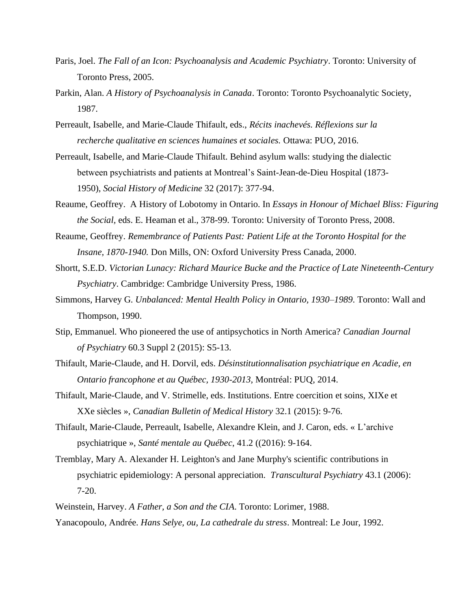- Paris, Joel. *The Fall of an Icon: Psychoanalysis and Academic Psychiatry*. Toronto: University of Toronto Press, 2005.
- Parkin, Alan. *A History of Psychoanalysis in Canada*. Toronto: Toronto Psychoanalytic Society, 1987.
- Perreault, Isabelle, and Marie-Claude Thifault, eds., *Récits inachevés. Réflexions sur la recherche qualitative en sciences humaines et sociales.* Ottawa: PUO, 2016.
- Perreault, Isabelle, and Marie-Claude Thifault. Behind asylum walls: studying the dialectic between psychiatrists and patients at Montreal's Saint-Jean-de-Dieu Hospital (1873- 1950), *Social History of Medicine* 32 (2017): 377-94.
- Reaume, Geoffrey. A History of Lobotomy in Ontario. In *Essays in Honour of Michael Bliss: Figuring the Social,* eds. E. Heaman et al., 378-99. Toronto: University of Toronto Press, 2008.
- Reaume, Geoffrey. *Remembrance of Patients Past: Patient Life at the Toronto Hospital for the Insane, 1870-1940.* Don Mills, ON: Oxford University Press Canada, 2000.
- Shortt, S.E.D. *Victorian Lunacy: Richard Maurice Bucke and the Practice of Late Nineteenth-Century Psychiatry*. Cambridge: Cambridge University Press, 1986.
- Simmons, Harvey G. *Unbalanced: Mental Health Policy in Ontario, 1930–1989*. Toronto: Wall and Thompson, 1990.
- Stip, Emmanuel. Who pioneered the use of antipsychotics in North America? *Canadian Journal of Psychiatry* 60.3 Suppl 2 (2015): S5-13.
- Thifault, Marie-Claude, and H. Dorvil, eds. *Désinstitutionnalisation psychiatrique en Acadie, en Ontario francophone et au Québec, 1930-2013,* Montréal: PUQ, 2014.
- Thifault, Marie-Claude, and V. Strimelle, eds. Institutions. Entre coercition et soins, XIXe et XXe siècles », *Canadian Bulletin of Medical History* 32.1 (2015): 9-76.
- Thifault, Marie-Claude, Perreault, Isabelle, Alexandre Klein, and J. Caron, eds. « L'archive psychiatrique », *Santé mentale au Québec*, 41.2 ((2016): 9-164.
- Tremblay, Mary A. Alexander H. Leighton's and Jane Murphy's scientific contributions in psychiatric epidemiology: A personal appreciation. *Transcultural Psychiatry* 43.1 (2006): 7-20.
- Weinstein, Harvey. *A Father, a Son and the CIA*. Toronto: Lorimer, 1988. Yanacopoulo, Andrée. *Hans Selye, ou, La cathedrale du stress*. Montreal: Le Jour, 1992.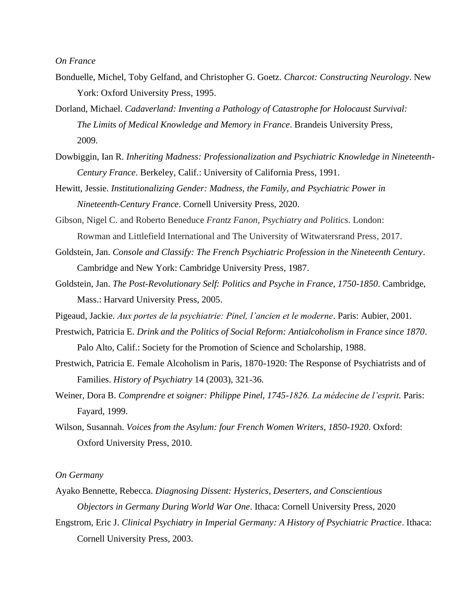#### <span id="page-15-0"></span>*On France*

- Bonduelle, Michel, Toby Gelfand, and Christopher G. Goetz. *Charcot: Constructing Neurology*. New York: Oxford University Press, 1995.
- Dorland, Michael. *Cadaverland: Inventing a Pathology of Catastrophe for Holocaust Survival: The Limits of Medical Knowledge and Memory in France*. Brandeis University Press, 2009.
- Dowbiggin, Ian R. *Inheriting Madness: Professionalization and Psychiatric Knowledge in Nineteenth-Century France*. Berkeley, Calif.: University of California Press, 1991.
- Hewitt, Jessie. *Institutionalizing Gender: Madness, the Family, and Psychiatric Power in Nineteenth-Century France*. Cornell University Press, 2020.
- Gibson, Nigel C. and Roberto Beneduce *Frantz Fanon, Psychiatry and Politics.* London: Rowman and Littlefield International and The University of Witwatersrand Press, 2017.
- Goldstein, Jan. *Console and Classify: The French Psychiatric Profession in the Nineteenth Century*. Cambridge and New York: Cambridge University Press, 1987.
- Goldstein, Jan. *The Post-Revolutionary Self: Politics and Psyche in France, 1750-1850*. Cambridge, Mass.: Harvard University Press, 2005.
- Pigeaud, Jackie. *Aux portes de la psychiatrie: Pinel, l'ancien et le moderne*. Paris: Aubier, 2001.
- Prestwich, Patricia E. *Drink and the Politics of Social Reform: Antialcoholism in France since 1870*. Palo Alto, Calif.: Society for the Promotion of Science and Scholarship, 1988.
- Prestwich, Patricia E. Female Alcoholism in Paris, 1870-1920: The Response of Psychiatrists and of Families. *History of Psychiatry* 14 (2003), 321-36.
- Weiner, Dora B. *Comprendre et soigner: Philippe Pinel, 1745-1826. La médecine de l'esprit.* Paris: Fayard, 1999.
- Wilson, Susannah. *Voices from the Asylum: four French Women Writers, 1850-1920*. Oxford: Oxford University Press, 2010.

#### <span id="page-15-1"></span>*On Germany*

- Ayako Bennette, Rebecca. *Diagnosing Dissent: Hysterics, Deserters, and Conscientious Objectors in Germany During World War One*. Ithaca: Cornell University Press, 2020
- Engstrom, Eric J. *Clinical Psychiatry in Imperial Germany: A History of Psychiatric Practice*. Ithaca: Cornell University Press, 2003.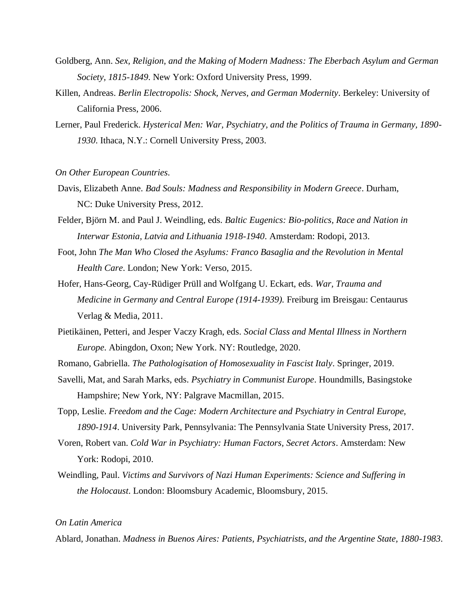- Goldberg, Ann. *Sex, Religion, and the Making of Modern Madness: The Eberbach Asylum and German Society, 1815-1849*. New York: Oxford University Press, 1999.
- Killen, Andreas. *Berlin Electropolis: Shock, Nerves, and German Modernity*. Berkeley: University of California Press, 2006.
- Lerner, Paul Frederick. *Hysterical Men: War, Psychiatry, and the Politics of Trauma in Germany, 1890- 1930*. Ithaca, N.Y.: Cornell University Press, 2003.
- <span id="page-16-0"></span>*On Other European Countries.*
- Davis, Elizabeth Anne. *Bad Souls: Madness and Responsibility in Modern Greece*. Durham, NC: Duke University Press, 2012.
- Felder, Björn M. and Paul J. Weindling, eds. *Baltic Eugenics: Bio-politics, Race and Nation in Interwar Estonia, Latvia and Lithuania 1918-1940*. Amsterdam: Rodopi, 2013.
- Foot, John *The Man Who Closed the Asylums: Franco Basaglia and the Revolution in Mental Health Care*. London; New York: Verso, 2015.
- Hofer, Hans-Georg, Cay-Rüdiger Prüll and Wolfgang U. Eckart, eds. *War, Trauma and Medicine in Germany and Central Europe (1914-1939).* Freiburg im Breisgau: Centaurus Verlag & Media, 2011.
- Pietikäinen, Petteri, and Jesper Vaczy Kragh, eds. *Social Class and Mental Illness in Northern Europe*. Abingdon, Oxon; New York. NY: Routledge, 2020.
- Romano, Gabriella. *The Pathologisation of Homosexuality in Fascist Italy*. Springer, 2019.
- Savelli, Mat, and Sarah Marks, eds. *Psychiatry in Communist Europe*. Houndmills, Basingstoke Hampshire; New York, NY: Palgrave Macmillan, 2015.
- Topp, Leslie. *Freedom and the Cage: Modern Architecture and Psychiatry in Central Europe, 1890-1914*. University Park, Pennsylvania: The Pennsylvania State University Press, 2017.
- Voren, Robert van. *Cold War in Psychiatry: Human Factors, Secret Actors*. Amsterdam: New York: Rodopi, 2010.
- Weindling, Paul. *Victims and Survivors of Nazi Human Experiments: Science and Suffering in the Holocaust*. London: Bloomsbury Academic, Bloomsbury, 2015.

### <span id="page-16-1"></span>*On Latin America*

Ablard, Jonathan. *Madness in Buenos Aires: Patients, Psychiatrists, and the Argentine State, 1880-1983*.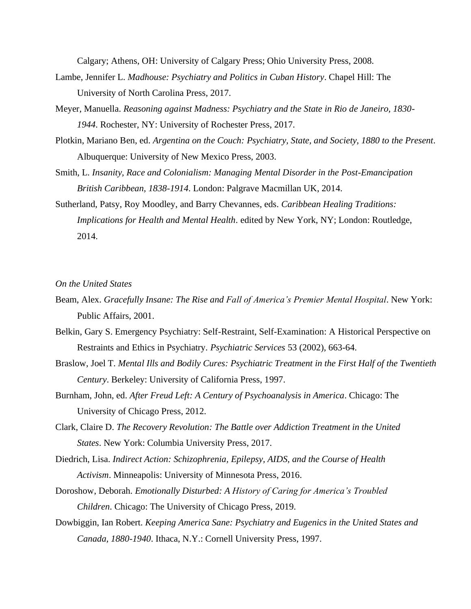Calgary; Athens, OH: University of Calgary Press; Ohio University Press, 2008.

- Lambe, Jennifer L. *Madhouse: Psychiatry and Politics in Cuban History*. Chapel Hill: The University of North Carolina Press, 2017.
- Meyer, Manuella. *Reasoning against Madness: Psychiatry and the State in Rio de Janeiro, 1830- 1944*. Rochester, NY: University of Rochester Press, 2017.
- Plotkin, Mariano Ben, ed. *Argentina on the Couch: Psychiatry, State, and Society, 1880 to the Present*. Albuquerque: University of New Mexico Press, 2003.
- Smith, L. *Insanity, Race and Colonialism: Managing Mental Disorder in the Post-Emancipation British Caribbean, 1838-1914*. London: Palgrave Macmillan UK, 2014.
- Sutherland, Patsy, Roy Moodley, and Barry Chevannes, eds. *Caribbean Healing Traditions: Implications for Health and Mental Health*. edited by New York, NY; London: Routledge, 2014.

<span id="page-17-0"></span>*On the United States*

- Beam, Alex. *Gracefully Insane: The Rise and Fall of America's Premier Mental Hospital*. New York: Public Affairs, 2001.
- Belkin, Gary S. Emergency Psychiatry: Self-Restraint, Self-Examination: A Historical Perspective on Restraints and Ethics in Psychiatry. *Psychiatric Services* 53 (2002), 663-64.
- Braslow, Joel T. *Mental Ills and Bodily Cures: Psychiatric Treatment in the First Half of the Twentieth Century*. Berkeley: University of California Press, 1997.
- Burnham, John, ed. *After Freud Left: A Century of Psychoanalysis in America*. Chicago: The University of Chicago Press, 2012.
- Clark, Claire D. *The Recovery Revolution: The Battle over Addiction Treatment in the United States*. New York: Columbia University Press, 2017.
- Diedrich, Lisa. *Indirect Action: Schizophrenia, Epilepsy, AIDS, and the Course of Health Activism*. Minneapolis: University of Minnesota Press, 2016.
- Doroshow, Deborah. *Emotionally Disturbed: A History of Caring for America's Troubled Children*. Chicago: The University of Chicago Press, 2019.
- Dowbiggin, Ian Robert. *Keeping America Sane: Psychiatry and Eugenics in the United States and Canada, 1880-1940*. Ithaca, N.Y.: Cornell University Press, 1997.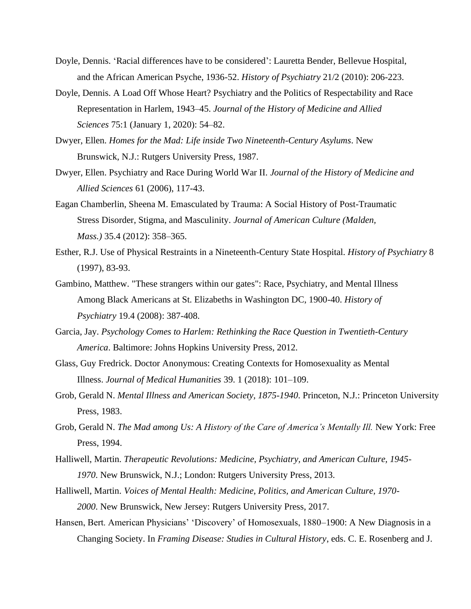- Doyle, Dennis. 'Racial differences have to be considered': Lauretta Bender, Bellevue Hospital, and the African American Psyche, 1936-52. *History of Psychiatry* 21/2 (2010): 206-223.
- Doyle, Dennis. A Load Off Whose Heart? Psychiatry and the Politics of Respectability and Race Representation in Harlem, 1943–45. *Journal of the History of Medicine and Allied Sciences* 75:1 (January 1, 2020): 54–82.
- Dwyer, Ellen. *Homes for the Mad: Life inside Two Nineteenth-Century Asylums*. New Brunswick, N.J.: Rutgers University Press, 1987.
- Dwyer, Ellen. Psychiatry and Race During World War II. *Journal of the History of Medicine and Allied Sciences* 61 (2006), 117-43.
- Eagan Chamberlin, Sheena M. Emasculated by Trauma: A Social History of Post-Traumatic Stress Disorder, Stigma, and Masculinity. *Journal of American Culture (Malden, Mass.)* 35.4 (2012): 358–365.
- Esther, R.J. Use of Physical Restraints in a Nineteenth-Century State Hospital. *History of Psychiatry* 8 (1997), 83-93.
- Gambino, Matthew. "These strangers within our gates": Race, Psychiatry, and Mental Illness Among Black Americans at St. Elizabeths in Washington DC, 1900-40. *History of Psychiatry* 19.4 (2008): 387-408.
- Garcia, Jay. *Psychology Comes to Harlem: Rethinking the Race Question in Twentieth-Century America*. Baltimore: Johns Hopkins University Press, 2012.
- Glass, Guy Fredrick. Doctor Anonymous: Creating Contexts for Homosexuality as Mental Illness. *Journal of Medical Humanities* 39. 1 (2018): 101–109.
- Grob, Gerald N. *Mental Illness and American Society, 1875-1940*. Princeton, N.J.: Princeton University Press, 1983.
- Grob, Gerald N. *The Mad among Us: A History of the Care of America's Mentally Ill.* New York: Free Press, 1994.
- Halliwell, Martin. *Therapeutic Revolutions: Medicine, Psychiatry, and American Culture, 1945- 1970*. New Brunswick, N.J.; London: Rutgers University Press, 2013.
- Halliwell, Martin. *Voices of Mental Health: Medicine, Politics, and American Culture, 1970- 2000*. New Brunswick, New Jersey: Rutgers University Press, 2017.
- Hansen, Bert. American Physicians' 'Discovery' of Homosexuals, 1880–1900: A New Diagnosis in a Changing Society. In *Framing Disease: Studies in Cultural History*, eds. C. E. Rosenberg and J.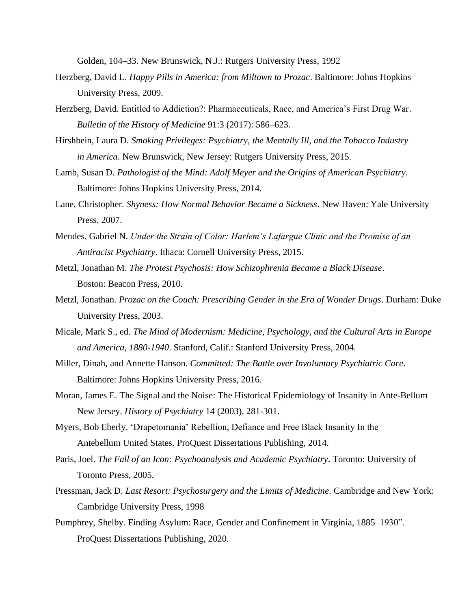Golden, 104–33. New Brunswick, N.J.: Rutgers University Press, 1992

- Herzberg, David L. *Happy Pills in America: from Miltown to Prozac*. Baltimore: Johns Hopkins University Press, 2009.
- Herzberg, David. Entitled to Addiction?: Pharmaceuticals, Race, and America's First Drug War. *Bulletin of the History of Medicine* 91:3 (2017): 586–623.
- Hirshbein, Laura D. *Smoking Privileges: Psychiatry, the Mentally Ill, and the Tobacco Industry in America*. New Brunswick, New Jersey: Rutgers University Press, 2015.
- Lamb, Susan D. *Pathologist of the Mind: Adolf Meyer and the Origins of American Psychiatry*. Baltimore: Johns Hopkins University Press, 2014.
- Lane, Christopher. *Shyness: How Normal Behavior Became a Sickness*. New Haven: Yale University Press, 2007.
- Mendes, Gabriel N. *Under the Strain of Color: Harlem's Lafargue Clinic and the Promise of an Antiracist Psychiatry*. Ithaca: Cornell University Press, 2015.
- Metzl, Jonathan M. *The Protest Psychosis: How Schizophrenia Became a Black Disease*. Boston: Beacon Press, 2010.
- Metzl, Jonathan. *Prozac on the Couch: Prescribing Gender in the Era of Wonder Drugs*. Durham: Duke University Press, 2003.
- Micale, Mark S., ed. *The Mind of Modernism: Medicine, Psychology, and the Cultural Arts in Europe and America, 1880-1940*. Stanford, Calif.: Stanford University Press, 2004.
- Miller, Dinah, and Annette Hanson. *Committed: The Battle over Involuntary Psychiatric Care*. Baltimore: Johns Hopkins University Press, 2016.
- Moran, James E. The Signal and the Noise: The Historical Epidemiology of Insanity in Ante-Bellum New Jersey. *History of Psychiatry* 14 (2003), 281-301.
- Myers, Bob Eberly. 'Drapetomania' Rebellion, Defiance and Free Black Insanity In the Antebellum United States. ProQuest Dissertations Publishing, 2014.
- Paris, Joel. *The Fall of an Icon: Psychoanalysis and Academic Psychiatry*. Toronto: University of Toronto Press, 2005.
- Pressman, Jack D. *Last Resort: Psychosurgery and the Limits of Medicine*. Cambridge and New York: Cambridge University Press, 1998
- Pumphrey, Shelby. Finding Asylum: Race, Gender and Confinement in Virginia, 1885–1930". ProQuest Dissertations Publishing, 2020.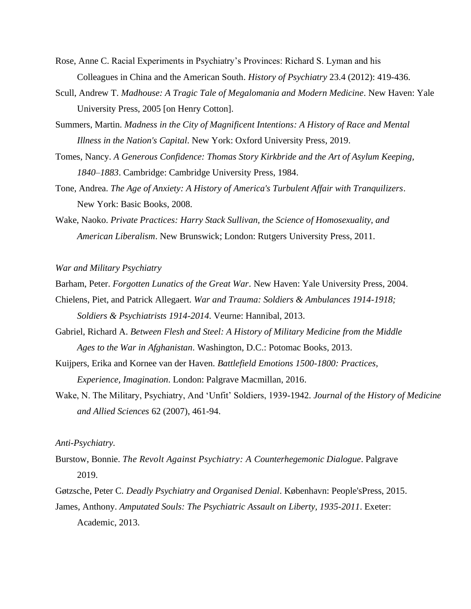- Rose, Anne C. Racial Experiments in Psychiatry's Provinces: Richard S. Lyman and his Colleagues in China and the American South. *History of Psychiatry* 23.4 (2012): 419-436.
- Scull, Andrew T. *Madhouse: A Tragic Tale of Megalomania and Modern Medicine*. New Haven: Yale University Press, 2005 [on Henry Cotton].
- Summers, Martin. *Madness in the City of Magnificent Intentions: A History of Race and Mental Illness in the Nation's Capital*. New York: Oxford University Press, 2019.
- Tomes, Nancy. *A Generous Confidence: Thomas Story Kirkbride and the Art of Asylum Keeping, 1840–1883*. Cambridge: Cambridge University Press, 1984.
- Tone, Andrea. *The Age of Anxiety: A History of America's Turbulent Affair with Tranquilizers*. New York: Basic Books, 2008.
- Wake, Naoko. *Private Practices: Harry Stack Sullivan, the Science of Homosexuality, and American Liberalism*. New Brunswick; London: Rutgers University Press, 2011.

<span id="page-20-0"></span>*War and Military Psychiatry*

Barham, Peter. *Forgotten Lunatics of the Great War*. New Haven: Yale University Press, 2004.

- Chielens, Piet, and Patrick Allegaert. *War and Trauma: Soldiers & Ambulances 1914-1918; Soldiers & Psychiatrists 1914-2014*. Veurne: Hannibal, 2013.
- Gabriel, Richard A. *Between Flesh and Steel: A History of Military Medicine from the Middle Ages to the War in Afghanistan*. Washington, D.C.: Potomac Books, 2013.
- Kuijpers, Erika and Kornee van der Haven. *Battlefield Emotions 1500-1800: Practices, Experience, Imagination*. London: Palgrave Macmillan, 2016.
- Wake, N. The Military, Psychiatry, And 'Unfit' Soldiers, 1939-1942. *Journal of the History of Medicine and Allied Sciences* 62 (2007), 461-94.

<span id="page-20-1"></span>*Anti-Psychiatry.*

- Burstow, Bonnie. *The Revolt Against Psychiatry: A Counterhegemonic Dialogue*. Palgrave 2019.
- Gøtzsche, Peter C. *Deadly Psychiatry and Organised Denial*. København: People'sPress, 2015.
- James, Anthony. *Amputated Souls: The Psychiatric Assault on Liberty, 1935-2011*. Exeter: Academic, 2013.